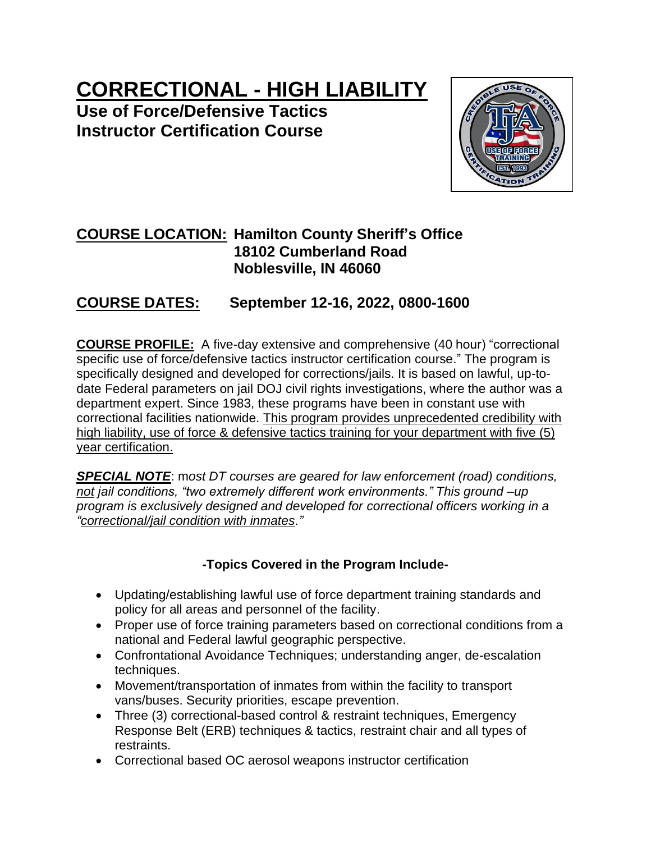# **CORRECTIONAL - HIGH LIABILITY**

**Use of Force/Defensive Tactics Instructor Certification Course**



# **COURSE LOCATION: Hamilton County Sheriff's Office 18102 Cumberland Road Noblesville, IN 46060**

# **COURSE DATES: September 12-16, 2022, 0800-1600**

**COURSE PROFILE:** A five-day extensive and comprehensive (40 hour) "correctional specific use of force/defensive tactics instructor certification course." The program is specifically designed and developed for corrections/jails. It is based on lawful, up-todate Federal parameters on jail DOJ civil rights investigations, where the author was a department expert. Since 1983, these programs have been in constant use with correctional facilities nationwide. This program provides unprecedented credibility with high liability, use of force & defensive tactics training for your department with five (5) year certification.

*SPECIAL NOTE*: m*ost DT courses are geared for law enforcement (road) conditions, not jail conditions, "two extremely different work environments." This ground –up program is exclusively designed and developed for correctional officers working in a "correctional/jail condition with inmates."*

# **-Topics Covered in the Program Include-**

- Updating/establishing lawful use of force department training standards and policy for all areas and personnel of the facility.
- Proper use of force training parameters based on correctional conditions from a national and Federal lawful geographic perspective.
- Confrontational Avoidance Techniques; understanding anger, de-escalation techniques.
- Movement/transportation of inmates from within the facility to transport vans/buses. Security priorities, escape prevention.
- Three (3) correctional-based control & restraint techniques, Emergency Response Belt (ERB) techniques & tactics, restraint chair and all types of restraints.
- Correctional based OC aerosol weapons instructor certification